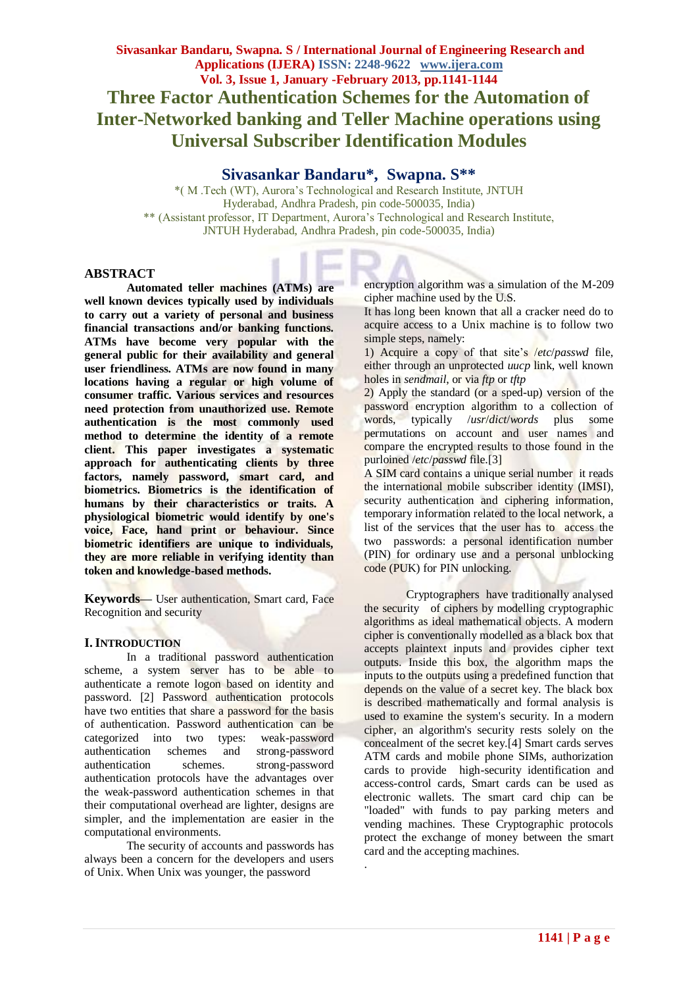## **Sivasankar Bandaru\*, Swapna. S\*\***

\*( M .Tech (WT), Aurora's Technological and Research Institute, JNTUH Hyderabad, Andhra Pradesh, pin code-500035, India) \*\* (Assistant professor, IT Department, Aurora's Technological and Research Institute, JNTUH Hyderabad, Andhra Pradesh, pin code-500035, India)

.

#### **ABSTRACT**

**Automated teller machines (ATMs) are well known devices typically used by individuals to carry out a variety of personal and business financial transactions and/or banking functions. ATMs have become very popular with the general public for their availability and general user friendliness. ATMs are now found in many locations having a regular or high volume of consumer traffic. Various services and resources need protection from unauthorized use. Remote authentication is the most commonly used method to determine the identity of a remote client. This paper investigates a systematic approach for authenticating clients by three factors, namely password, smart card, and biometrics. Biometrics is the identification of humans by their characteristics or traits. A physiological biometric would identify by one's voice, Face, hand print or behaviour. Since biometric identifiers are unique to individuals, they are more reliable in verifying identity than token and knowledge-based methods.**

**Keywords—** User authentication, Smart card, Face Recognition and security

#### **I.INTRODUCTION**

In a traditional password authentication scheme, a system server has to be able to authenticate a remote logon based on identity and password. [2] Password authentication protocols have two entities that share a password for the basis of authentication. Password authentication can be categorized into two types: weak-password authentication schemes and strong-password authentication schemes. strong-password authentication protocols have the advantages over the weak-password authentication schemes in that their computational overhead are lighter, designs are simpler, and the implementation are easier in the computational environments.

The security of accounts and passwords has always been a concern for the developers and users of Unix. When Unix was younger, the password

encryption algorithm was a simulation of the M-209 cipher machine used by the U.S.

It has long been known that all a cracker need do to acquire access to a Unix machine is to follow two simple steps, namely:

1) Acquire a copy of that site's /*etc*/*passwd* file, either through an unprotected *uucp* link, well known holes in *sendmail*, or via *ftp* or *tftp*

2) Apply the standard (or a sped-up) version of the password encryption algorithm to a collection of words, typically /*usr*/*dict*/*words* plus some permutations on account and user names and compare the encrypted results to those found in the purloined /*etc*/*passwd* file.[3]

A SIM card contains a unique serial number it reads the international mobile subscriber identity (IMSI), security authentication and ciphering information, temporary information related to the local network, a list of the services that the user has to access the two passwords: a personal identification number (PIN) for ordinary use and a personal unblocking code (PUK) for PIN unlocking.

Cryptographers have traditionally analysed the security of ciphers by modelling cryptographic algorithms as ideal mathematical objects. A modern cipher is conventionally modelled as a black box that accepts plaintext inputs and provides cipher text outputs. Inside this box, the algorithm maps the inputs to the outputs using a predefined function that depends on the value of a secret key. The black box is described mathematically and formal analysis is used to examine the system's security. In a modern cipher, an algorithm's security rests solely on the concealment of the secret key.[4] Smart cards serves ATM cards and mobile phone SIMs, authorization cards to provide high-security identification and access-control cards, Smart cards can be used as electronic wallets. The smart card chip can be "loaded" with funds to pay parking meters and vending machines. These Cryptographic protocols protect the exchange of money between the smart card and the accepting machines.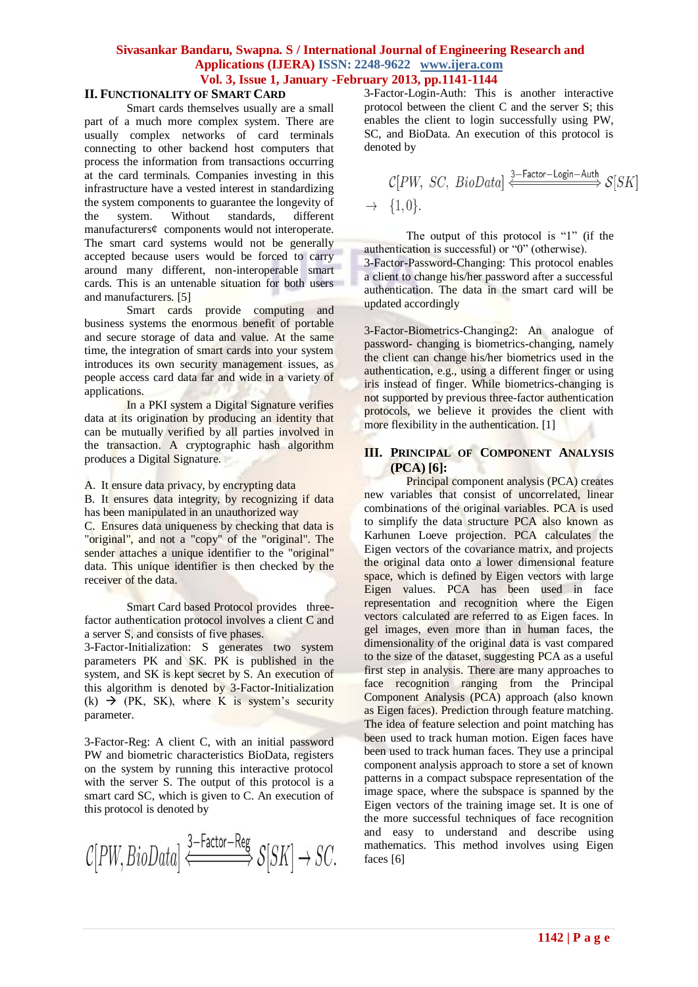## **Sivasankar Bandaru, Swapna. S / International Journal of Engineering Research and Applications (IJERA) ISSN: 2248-9622 www.ijera.com Vol. 3, Issue 1, January -February 2013, pp.1141-1144**

## **II. FUNCTIONALITY OF SMART CARD**

Smart cards themselves usually are a small part of a much more complex system. There are usually complex networks of card terminals connecting to other backend host computers that process the information from transactions occurring at the card terminals. Companies investing in this infrastructure have a vested interest in standardizing the system components to guarantee the longevity of the system. Without standards, different manufacturers¢ components would not interoperate. The smart card systems would not be generally accepted because users would be forced to carry around many different, non-interoperable smart cards. This is an untenable situation for both users and manufacturers. [5]

Smart cards provide computing and business systems the enormous benefit of portable and secure storage of data and value. At the same time, the integration of smart cards into your system introduces its own security management issues, as people access card data far and wide in a variety of applications.

In a PKI system a Digital Signature verifies data at its origination by producing an identity that can be mutually verified by all parties involved in the transaction. A cryptographic hash algorithm produces a Digital Signature.

A. It ensure data privacy, by encrypting data

B. It ensures data integrity, by recognizing if data has been manipulated in an unauthorized way

C. Ensures data uniqueness by checking that data is "original", and not a "copy" of the "original". The sender attaches a unique identifier to the "original" data. This unique identifier is then checked by the receiver of the data.

Smart Card based Protocol provides threefactor authentication protocol involves a client C and a server S, and consists of five phases.

3-Factor-Initialization: S generates two system parameters PK and SK. PK is published in the system, and SK is kept secret by S. An execution of this algorithm is denoted by 3-Factor-Initialization  $(k)$   $\rightarrow$  (PK, SK), where K is system's security parameter.

3-Factor-Reg: A client C, with an initial password PW and biometric characteristics BioData, registers on the system by running this interactive protocol with the server S. The output of this protocol is a smart card SC, which is given to C. An execution of this protocol is denoted by

$$
\mathcal{C}[PW, BioData] \xleftarrow{\texttt{3-Factor-Reg}} \mathcal{S}[SK] \rightarrow SC.
$$

3-Factor-Login-Auth: This is another interactive protocol between the client C and the server S; this enables the client to login successfully using PW, SC, and BioData. An execution of this protocol is denoted by

$$
\begin{array}{c}\nC[PW, SC, BioData] \xleftarrow{3-Factor-Login-Auth} S[SK] \\
\rightarrow \{1,0\}.\n\end{array}
$$

The output of this protocol is "1" (if the authentication is successful) or "0" (otherwise). 3-Factor-Password-Changing: This protocol enables a client to change his/her password after a successful authentication. The data in the smart card will be updated accordingly

3-Factor-Biometrics-Changing2: An analogue of password- changing is biometrics-changing, namely the client can change his/her biometrics used in the authentication, e.g., using a different finger or using iris instead of finger. While biometrics-changing is not supported by previous three-factor authentication protocols, we believe it provides the client with more flexibility in the authentication. [1]

### **III. PRINCIPAL OF COMPONENT ANALYSIS (PCA) [6]:**

Principal component analysis (PCA) creates new variables that consist of uncorrelated, linear combinations of the original variables. PCA is used to simplify the data structure PCA also known as Karhunen Loeve projection. PCA calculates the Eigen vectors of the covariance matrix, and projects the original data onto a lower dimensional feature space, which is defined by Eigen vectors with large Eigen values. PCA has been used in face representation and recognition where the Eigen vectors calculated are referred to as Eigen faces. In gel images, even more than in human faces, the dimensionality of the original data is vast compared to the size of the dataset, suggesting PCA as a useful first step in analysis. There are many approaches to face recognition ranging from the Principal Component Analysis (PCA) approach (also known as Eigen faces). Prediction through feature matching. The idea of feature selection and point matching has been used to track human motion. Eigen faces have been used to track human faces. They use a principal component analysis approach to store a set of known patterns in a compact subspace representation of the image space, where the subspace is spanned by the Eigen vectors of the training image set. It is one of the more successful techniques of face recognition and easy to understand and describe using mathematics. This method involves using Eigen faces [6]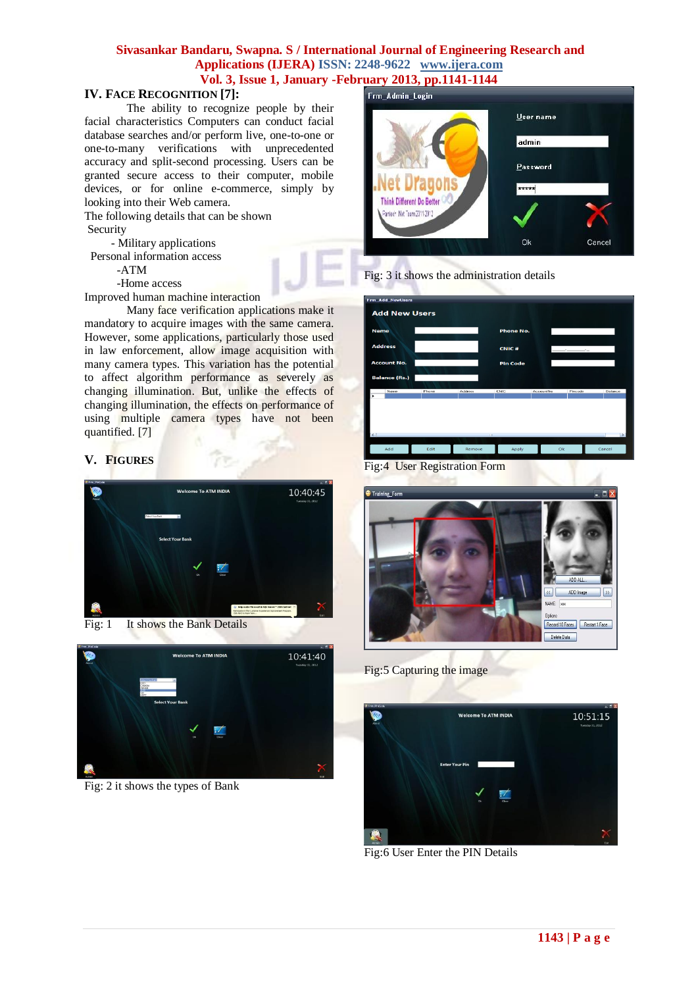## **Sivasankar Bandaru, Swapna. S / International Journal of Engineering Research and Applications (IJERA) ISSN: 2248-9622 www.ijera.com Vol. 3, Issue 1, January -February 2013, pp.1141-1144**

## **IV. FACE RECOGNITION [7]:**

The ability to recognize people by their facial characteristics Computers can conduct facial database searches and/or perform live, one-to-one or one-to-many verifications with unprecedented accuracy and split-second processing. Users can be granted secure access to their computer, mobile devices, or for online e-commerce, simply by looking into their Web camera.

The following details that can be shown Security

- Military applications

Personal information access

-ATM

-Home access

Improved human machine interaction

Many face verification applications make it mandatory to acquire images with the same camera. However, some applications, particularly those used in law enforcement, allow image acquisition with many camera types. This variation has the potential to affect algorithm performance as severely as changing illumination. But, unlike the effects of changing illumination, the effects on performance of using multiple camera types have not been quantified. [7]

## **V. FIGURES**



Fig: 1 It shows the Bank Details



Fig: 2 it shows the types of Bank

# Frm Admin Login





| <b>Frm Add NewUsers</b><br><b>Add New Users</b> |       |             |                 |           |                     |               |
|-------------------------------------------------|-------|-------------|-----------------|-----------|---------------------|---------------|
| <b>Name</b>                                     |       |             | Phone No.       |           |                     |               |
| <b>Address</b>                                  |       |             | <b>CNIC#</b>    |           | <b>Section 2005</b> |               |
| <b>Account No.</b>                              |       |             | <b>Pin Code</b> |           |                     |               |
| <b>Balance (Rs.)</b>                            |       |             |                 |           |                     |               |
| Name<br>٠                                       | Phone | Address     | CNIC            | AccountNo | Pincode             | Balance       |
| $\leq$                                          |       | <b>HILL</b> |                 |           |                     | $\rightarrow$ |
| Add                                             | Edit  | Remove      | Apply           | Ok        |                     | Cancel        |

Fig:4 User Registration Form



Fig:5 Capturing the image

 $\mathsf I$ 



Fig:6 User Enter the PIN Details